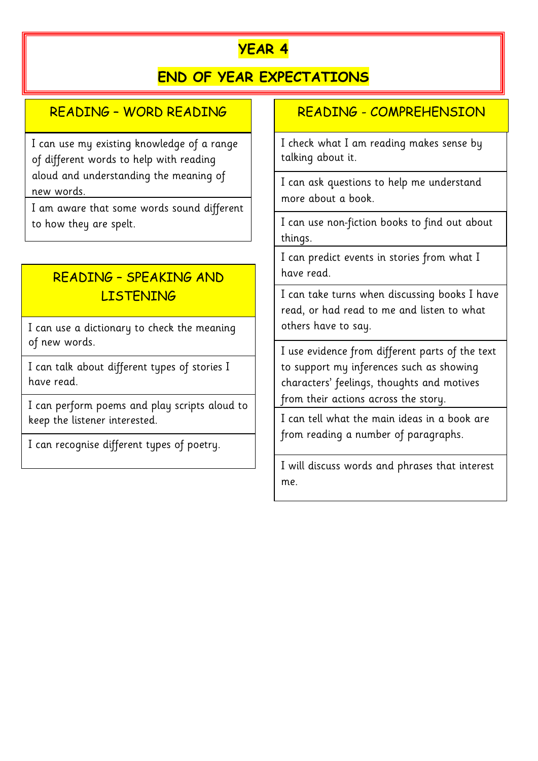# **YEAR 4**

# **END OF YEAR EXPECTATIONS**

#### READING – WORD READING

I can use my existing knowledge of a range of different words to help with reading aloud and understanding the meaning of new words.

I am aware that some words sound different to how they are spelt.  $\vert \cdot \vert$  I can use non-fiction books to find out about

# READING – SPEAKING AND LISTENING

I can use a dictionary to check the meaning of new words.

I can talk about different types of stories I have read.

I can perform poems and play scripts aloud to keep the listener interested.

I can recognise different types of poetry.

#### READING - COMPREHENSION

I check what I am reading makes sense by talking about it.

I can ask questions to help me understand more about a book.

things.

I can predict events in stories from what I have read.

I can take turns when discussing books I have read, or had read to me and listen to what others have to say.

I use evidence from different parts of the text to support my inferences such as showing characters' feelings, thoughts and motives from their actions across the story.

I can tell what the main ideas in a book are from reading a number of paragraphs.

I will discuss words and phrases that interest me.